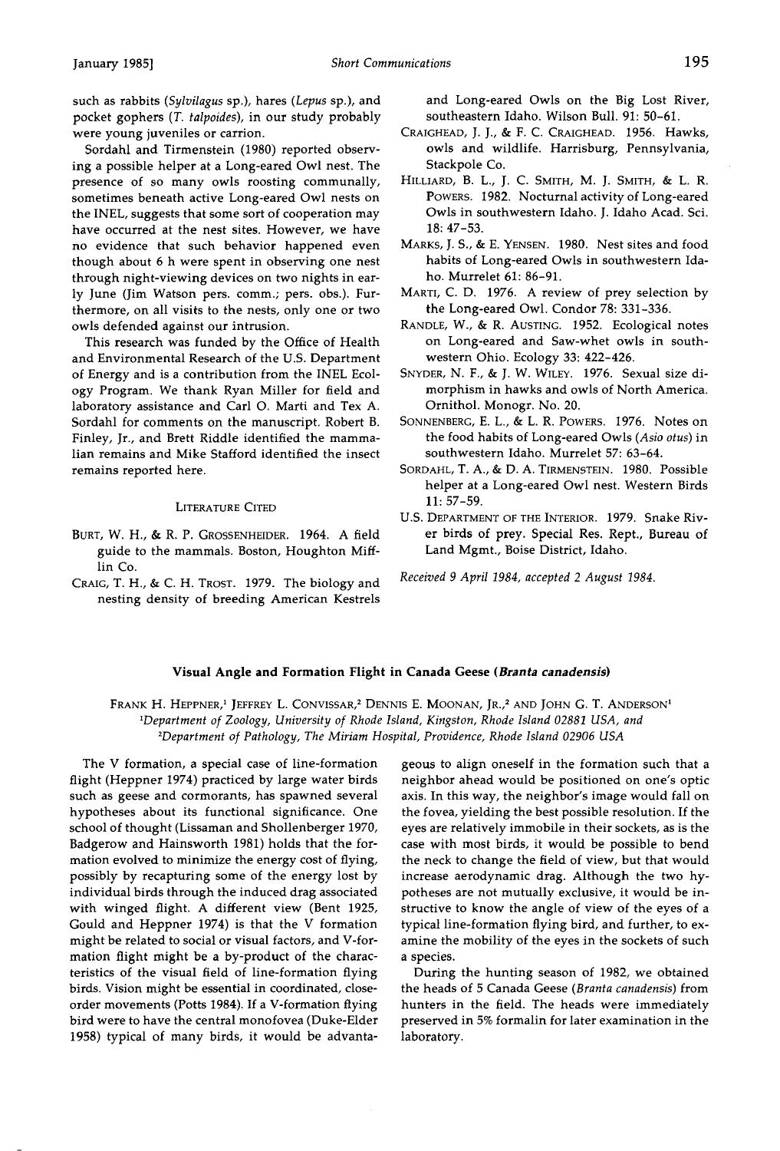such as rabbits (Sylvilagus sp.), hares (Lepus sp.), and **pocket gophers (T. talpoides), in our study probably were young juveniles or carrion.** 

**Sordahl and Tirmenstein (1980) reported observing a possible helper at a Long-eared Owl nest. The presence of so many owls roosting communally, sometimes beneath active Long-eared Owl nests on the INEL, suggests that some sort of cooperation may have occurred at the nest sites. However, we have no evidence that such behavior happened even though about 6 h were spent in observing one nest through night-viewing devices on two nights in early June (Jim Watson pers. comm.; pers. obs.). Furthermore, on all visits to the nests, only one or two owls defended against our intrusion.** 

**This research was funded by the Office of Health and Environmental Research of the U.S. Department of Energy and is a contribution from the INEL Ecology Program. We thank Ryan Miller for field and laboratory assistance and Carl O. Marti and Tex A. Sordahl for comments on the manuscript. Robert B. Finley, Jr., and Brett Riddle identified the mammalian remains and Mike Stafford identified the insect remains reported here.** 

## **LITERATURE CITED**

- **BURT, W. H., & R. P. GROSSENHEIDER. 1964. A field guide to the mammals. Boston, Houghton Mifflin Co.**
- **CRAIG, T. H., & C. H. TROST. 1979. The biology and nesting density of breeding American Kestrels**

**and Long-eared Owls on the Big Lost River, southeastern Idaho. Wilson Bull. 91: 50-61.** 

- **CRAIGHEAD, J. J., & F. C. CRAIGHEAD. 1956. Hawks, owls and wildlife. Harrisburg, Pennsylvania, Stackpole Co.**
- HILLIARD, B. L., J. C. SMITH, M. J. SMITH, & L. R. **POWERS. 1982. Nocturnal activity of Long-eared Owls in southwestern Idaho. J. Idaho Acad. Sci. 18: 47-53.**
- **MARKS, J. S., & E. YENSEN. 1980. Nest sites and food habits of Long-eared Owls in southwestern Idaho. Murrelet 61: 86-91.**
- **MARTI, C. D. 1976. A review of prey selection by the Long-eared Owl. Condor 78: 331-336.**
- **RANDLE, W., & R. AUSTING. 1952. Ecological notes on Long-eared and Saw-whet owls in southwestern Ohio. Ecology 33: 422-426.**
- **SNYDER, N. F., & J. W. WILEY. 1976. Sexual size dimorphism in hawks and owls of North America. Ornithol. Monogr. No. 20.**
- **SONNENBERG, E. L., & L. R. POWERS. 1976. Notes on the food habits of Long-eared Owls (Asio otus) in southwestern Idaho. Murrelet 57: 63-64.**
- **SORDAHL, T. A., & D. A. TIRMENSTEIN. 1980. Possible helper at a Long-eared Owl nest. Western Birds 11: 57-59.**
- **U.S. DEPARTMENT OF THE INTERIOR. 1979. Snake River birds of prey. Special Res. Rept., Bureau of Land Mgmt., Boise District, Idaho.**
- **Received 9April 1984, accepted 2 August 1984.**

## **Visual Angle and Formation Flight in Canada Geese (Branta canadensis)**

FRANK H. HEPPNER,<sup>1</sup> JEFFREY L. CONVISSAR,<sup>2</sup> DENNIS E. MOONAN, JR.,<sup>2</sup> AND JOHN G. T. ANDERSON<sup>1</sup> **•Department of Zoology, University of Rhode Island, Kingston, Rhode Island 02881 USA, and 2Department of Pathology, The Miriam Hospital, Providence, Rhode Island 02906 USA** 

**The V formation, a special case of line-formation flight (Heppner 1974) practiced by large water birds such as geese and cormorants, has spawned several hypotheses about its functional significance. One school of thought (Lissaman and Shollenberger 1970, Badgerow and Hainsworth 1981) holds that the formation evolved to minimize the energy cost of flying, possibly by recapturing some of the energy lost by individual birds through the induced drag associated with winged flight. A different view (Bent 1925, Gould and Heppner 1974) is that the V formation might be related to social or visual factors, and V-formation flight might be a by-product of the characteristics of the visual field of line-formation flying birds. Vision might be essential in coordinated, closeorder movements (Potts 1984). If a V-formation flying bird were to have the central monofovea (Duke-Elder 1958) typical of many birds, it would be advanta-** **geous to align oneself in the formation such that a neighbor ahead would be positioned on one's optic axis. In this way, the neighbor's image would fall on the fovea, yielding the best possible resolution. If the eyes are relatively immobile in their sockets, as is the case with most birds, it would be possible to bend the neck to change the field of view, but that would increase aerodynamic drag. Although the two hypotheses are not mutually exclusive, it would be instructive to know the angle of view of the eyes of a typical line-formation flying bird, and further, to examine the mobility of the eyes in the sockets of such a species.** 

**During the hunting season of 1982, we obtained the heads of 5 Canada Geese (Branta canadensis) from hunters in the field. The heads were immediately preserved in 5% formalin for later examination in the laboratory.**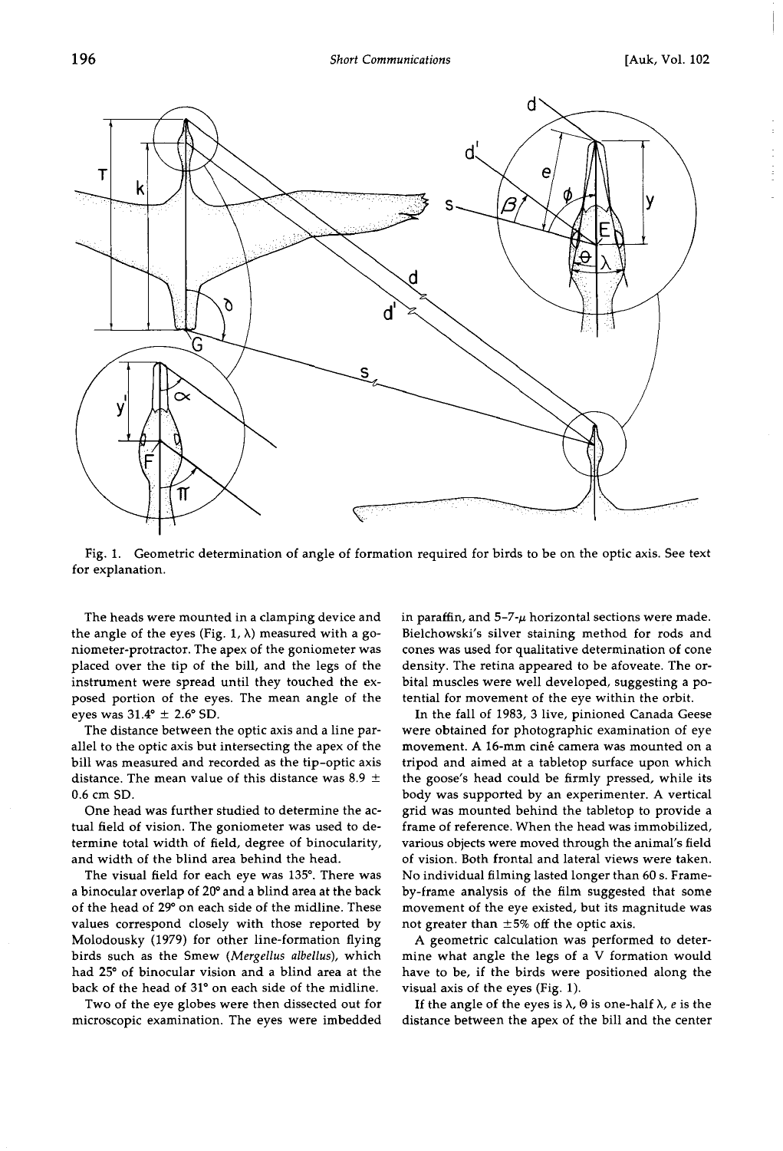

**Fig. 1. Geometric determination of angle of formation required for birds to be on the optic axis. See text for explanation.** 

**The heads were mounted in a clamping device and**  the angle of the eyes (Fig.  $1, \lambda$ ) measured with a go**niometer-protractor. The apex of the goniometer was placed over the tip of the bill, and the legs of the instrument were spread until they touched the exposed portion of the eyes. The mean angle of the**  eyes was  $31.4^{\circ} \pm 2.6^{\circ}$  SD.

**The distance between the optic axis and a line parallel to the optic axis but intersecting the apex of the bill was measured and recorded as the tip-optic axis**  distance. The mean value of this distance was  $8.9 \pm$ **0.6 cm SD.** 

**One head was further studied to determine the actual field of vision. The goniometer was used to determine total width of field, degree of binocularity, and width of the blind area behind the head.** 

The visual field for each eye was 135°. There was **a binocular overlap of 20 ø and a blind area at the back of the head of 29 ø on each side of the midline. These values correspond closely with those reported by Molodousky (1979) for other line-formation flying birds such as the Smew (Mergellus albellus), which had 25 ø of binocular vision and a blind area at the**  back of the head of 31° on each side of the midline.

**Two of the eye globes were then dissected out for microscopic examination. The eyes were imbedded**  **in paraffin, and 5-7-• horizontal sections were made. Bielchowski's silver staining method for rods and cones was used for qualitative determination of cone density. The retina appeared to be afoveate. The orbital muscles were well developed, suggesting a potential for movement of the eye within the orbit.** 

**In the fall of 1983, 3 live, pinioned Canada Geese were obtained for photographic examination of eye**  movement. A 16-mm ciné camera was mounted on a **tripod and aimed at a tabletop surface upon which the goose's head could be firmly pressed, while its body was supported by an experimenter. A vertical grid was mounted behind the tabletop to provide a frame of reference. When the head was immobilized, various objects were moved through the animal's field of vision. Both frontal and lateral views were taken. No individual filming lasted longer than 60 s. Frameby-frame analysis of the film suggested that some movement of the eye existed, but its magnitude was**  not greater than  $\pm 5\%$  off the optic axis.

**A geometric calculation was performed to determine what angle the legs of a V formation would have to be, if the birds were positioned along the visual axis of the eyes (Fig. 1).** 

If the angle of the eyes is  $\lambda$ ,  $\Theta$  is one-half  $\lambda$ , e is the **distance between the apex of the bill and the center**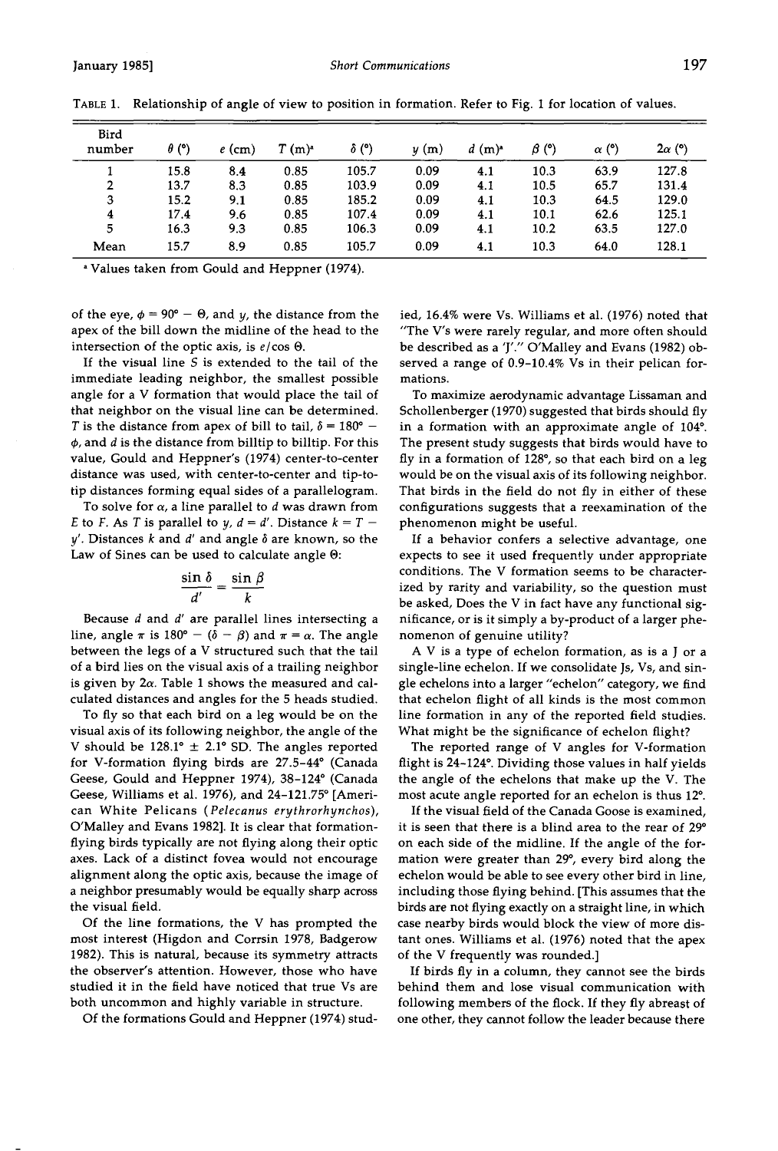| Bird<br>number | $\theta$ (°) | $e$ (cm) | $T(m)^*$ | $\delta$ (°) | y(m) | $d(m)^a$ | $\beta$ (°) | $\alpha$ (°) | $2\alpha$ (°) |
|----------------|--------------|----------|----------|--------------|------|----------|-------------|--------------|---------------|
|                | 15.8         | 8.4      | 0.85     | 105.7        | 0.09 | 4.1      | 10.3        | 63.9         | 127.8         |
| 2              | 13.7         | 8.3      | 0.85     | 103.9        | 0.09 | 4.1      | 10.5        | 65.7         | 131.4         |
| 3              | 15.2         | 9.1      | 0.85     | 185.2        | 0.09 | 4.1      | 10.3        | 64.5         | 129.0         |
| 4              | 17.4         | 9.6      | 0.85     | 107.4        | 0.09 | 4.1      | 10.1        | 62.6         | 125.1         |
| 5              | 16.3         | 9.3      | 0.85     | 106.3        | 0.09 | 4.1      | 10.2        | 63.5         | 127.0         |
| Mean           | 15.7         | 8.9      | 0.85     | 105.7        | 0.09 | 4.1      | 10.3        | 64.0         | 128.1         |

TABLE 1. Relationship of angle of view to position in formation. Refer to Fig. 1 for location of values.

**Values taken from Gould and Heppner (1974).** 

of the eye,  $\phi = 90^\circ - \Theta$ , and *y*, the distance from the **apex of the bill down the midline of the head to the**  intersection of the optic axis, is  $e/\cos\Theta$ .

**If the visual line S is extended to the tail of the immediate leading neighbor, the smallest possible angle for a V formation that would place the tail of that neighbor on the visual line can be determined.**  T is the distance from apex of bill to tail,  $\delta = 180^\circ$  -**•, and d is the distance from billtip to billtip. For this value, Gould and Heppner's (1974) center-to-center distance was used, with center-to-center and tip-totip distances forming equal sides of a parallelogram.** 

To solve for  $\alpha$ , a line parallel to  $d$  was drawn from E to F. As T is parallel to  $y, d = d'$ . Distance  $k = T$  $y'$ . Distances  $k$  and  $d'$  and angle  $\delta$  are known, so the **Law of Sines can be used to calculate angle O:** 

$$
\frac{\sin \delta}{d'} = \frac{\sin \beta}{k}
$$

**Because d and d' are parallel lines intersecting a**  line, angle  $\pi$  is 180° – ( $\delta$  –  $\beta$ ) and  $\pi$  =  $\alpha$ . The angle **between the legs of a V structured such that the tail of a bird lies on the visual axis of a trailing neighbor is given by 2a. Table 1 shows the measured and calculated distances and angles for the 5 heads studied.** 

**To fly so that each bird on a leg would be on the visual axis of its following neighbor, the angie of the**  V should be  $128.1^\circ \pm 2.1^\circ$  SD. The angles reported for V-formation flying birds are 27.5-44° (Canada Geese, Gould and Heppner 1974), 38-124° (Canada Geese, Williams et al. 1976), and 24-121.75° [Ameri**can White Pelicans (Pelecanus erythrorhynchos), O'Malley and Evans 1982]. It is clear that formationflying birds typically are not flying along their optic axes. Lack of a distinct fovea would not encourage alignment along the optic axis, because the image of a neighbor presumably would be equally sharp across the visual field.** 

**Of the line formations, the V has prompted the most interest (Higdon and Corrsin 1978, Badgerow 1982). This is natural, because its symmetry attracts the observer's attention. However, those who have studied it in the field have noticed that true Vs are both uncommon and highly variable in structure.** 

**Of the formations Gould and Heppner (1974) stud-**

**led, 16.4% were Vs. Williams et al. (1976) noted that "The V's were rarely regular, and more often should be described as a 'J'." O'Malley and Evans (1982) observed a range of 0.9-10.4% Vs in their pelican formations.** 

**To maximize aerodynamic advantage Lissaman and Schollenberger (1970) suggested that birds should fly**  in a formation with an approximate angle of 104°. **The present study suggests that birds would have to**  fly in a formation of 128°, so that each bird on a leg **would be on the visual axis of its following neighbor. That birds in the field do not fly in either of these configurations suggests that a reexamination of the phenomenon might be useful.** 

**If a behavior confers a selective advantage, one expects to see it used frequently under appropriate conditions. The V formation seems to be characterized by rarity and variability, so the question must be asked, Does the V in fact have any functional significance, or is it simply a by-product of a larger phenomenon of genuine utility?** 

**A V is a type of echelon formation, as is a J or a single-line echelon. If we consolidate Js, Vs, and single echelons into a larger "echelon" category, we find that echelon flight of all kinds is the most common line formation in any of the reported field studies. What might be the significance of echelon flight?** 

**The reported range of V angles for V-formation**  flight is 24-124°. Dividing those values in half yields **the angle of the echelons that make up the V. The**  most acute angle reported for an echelon is thus 12<sup>o</sup>.

**If the visual field of the Canada Goose is examined,**  it is seen that there is a blind area to the rear of 29° **on each side of the midline. If the angle of the for**mation were greater than 29°, every bird along the **echelon would be able to see every other bird in line, including those flying behind. [This assumes that the birds are not flying exactly on a straight line, in which case nearby birds would block the view of more distant ones. Williams et al. (1976) noted that the apex of the V frequently was rounded.]** 

**If birds fly in a column, they cannot see the birds behind them and lose visual communication with following members of the flock. If they fly abreast of one other, they cannot follow the leader because there**